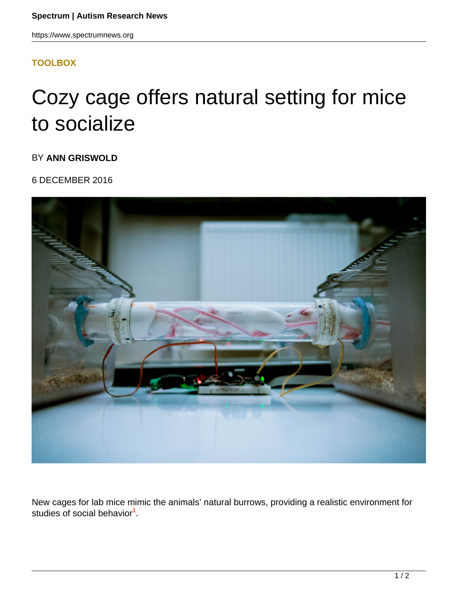## **[TOOLBOX](HTTPS://WWW.SPECTRUMNEWS.ORG/NEWS/TOOLBOX/)**

## Cozy cage offers natural setting for mice to socialize

BY **ANN GRISWOLD**

6 DECEMBER 2016



New cages for lab mice mimic the animals' natural burrows, providing a realistic environment for studies of social behavior**<sup>1</sup>** .